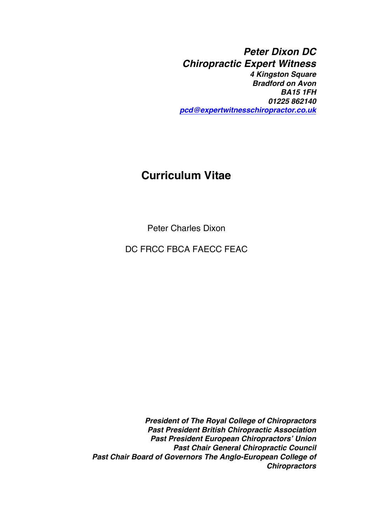*Peter Dixon DC Chiropractic Expert Witness 4 Kingston Square Bradford on Avon BA15 1FH 01225 862140 [pcd@expertwitnesschiropractor.co.uk](mailto:pcd@expertwitnesschiropractor.co.uk)*

## **Curriculum Vitae**

Peter Charles Dixon

DC FRCC FBCA FAECC FEAC

*President of The Royal College of Chiropractors Past President British Chiropractic Association Past President European Chiropractors' Union Past Chair General Chiropractic Council Past Chair Board of Governors The Anglo-European College of Chiropractors*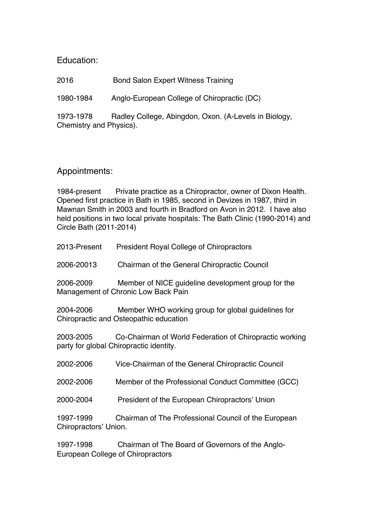Education:

2016 Bond Salon Expert Witness Training

1980-1984 Anglo-European College of Chiropractic (DC)

1973-1978 Radley College, Abingdon, Oxon. (A-Levels in Biology, Chemistry and Physics).

## Appointments:

1984-present Private practice as a Chiropractor, owner of Dixon Health. Opened first practice in Bath in 1985, second in Devizes in 1987, third in Mawnan Smith in 2003 and fourth in Bradford on Avon in 2012. I have also held positions in two local private hospitals: The Bath Clinic (1990-2014) and Circle Bath (2011-2014)

2013-Present President Royal College of Chiropractors

2006-20013 Chairman of the General Chiropractic Council

2006-2009 Member of NICE guideline development group for the Management of Chronic Low Back Pain

2004-2006 Member WHO working group for global guidelines for Chiropractic and Osteopathic education

2003-2005 Co-Chairman of World Federation of Chiropractic working party for global Chiropractic identity.

| 2002-2006                          | Vice-Chairman of the General Chiropractic Council    |
|------------------------------------|------------------------------------------------------|
| 2002-2006                          | Member of the Professional Conduct Committee (GCC)   |
| 2000-2004                          | President of the European Chiropractors' Union       |
| 1997-1999<br>Chiropractors' Union. | Chairman of The Professional Council of the European |
| 1997-1998                          | Chairman of The Board of Governors of the Anglo-     |

European College of Chiropractors